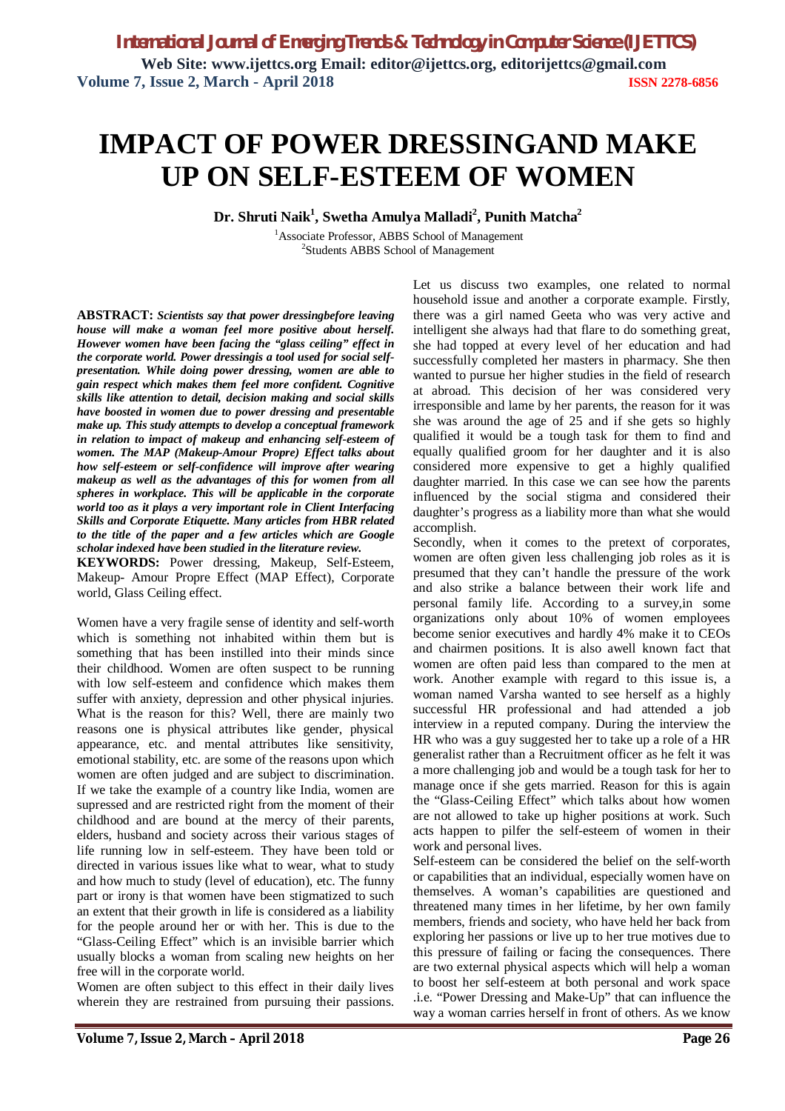# **IMPACT OF POWER DRESSINGAND MAKE UP ON SELF-ESTEEM OF WOMEN**

**Dr. Shruti Naik<sup>1</sup> , Swetha Amulya Malladi<sup>2</sup> , Punith Matcha<sup>2</sup>**

<sup>1</sup>Associate Professor, ABBS School of Management <sup>2</sup>Students ABBS School of Management

**ABSTRACT:** *Scientists say that power dressingbefore leaving house will make a woman feel more positive about herself. However women have been facing the "glass ceiling" effect in the corporate world. Power dressingis a tool used for social selfpresentation. While doing power dressing, women are able to gain respect which makes them feel more confident. Cognitive skills like attention to detail, decision making and social skills have boosted in women due to power dressing and presentable make up. This study attempts to develop a conceptual framework in relation to impact of makeup and enhancing self-esteem of women. The MAP (Makeup-Amour Propre) Effect talks about how self-esteem or self-confidence will improve after wearing makeup as well as the advantages of this for women from all spheres in workplace. This will be applicable in the corporate world too as it plays a very important role in Client Interfacing Skills and Corporate Etiquette. Many articles from HBR related to the title of the paper and a few articles which are Google scholar indexed have been studied in the literature review.*

**KEYWORDS:** Power dressing, Makeup, Self-Esteem, Makeup- Amour Propre Effect (MAP Effect), Corporate world, Glass Ceiling effect.

Women have a very fragile sense of identity and self-worth which is something not inhabited within them but is something that has been instilled into their minds since their childhood. Women are often suspect to be running with low self-esteem and confidence which makes them suffer with anxiety, depression and other physical injuries. What is the reason for this? Well, there are mainly two reasons one is physical attributes like gender, physical appearance, etc. and mental attributes like sensitivity, emotional stability, etc. are some of the reasons upon which women are often judged and are subject to discrimination. If we take the example of a country like India, women are supressed and are restricted right from the moment of their childhood and are bound at the mercy of their parents, elders, husband and society across their various stages of life running low in self-esteem. They have been told or directed in various issues like what to wear, what to study and how much to study (level of education), etc. The funny part or irony is that women have been stigmatized to such an extent that their growth in life is considered as a liability for the people around her or with her. This is due to the "Glass-Ceiling Effect" which is an invisible barrier which usually blocks a woman from scaling new heights on her free will in the corporate world.

Women are often subject to this effect in their daily lives wherein they are restrained from pursuing their passions.

Let us discuss two examples, one related to normal household issue and another a corporate example. Firstly, there was a girl named Geeta who was very active and intelligent she always had that flare to do something great, she had topped at every level of her education and had successfully completed her masters in pharmacy. She then wanted to pursue her higher studies in the field of research at abroad. This decision of her was considered very irresponsible and lame by her parents, the reason for it was she was around the age of 25 and if she gets so highly qualified it would be a tough task for them to find and equally qualified groom for her daughter and it is also considered more expensive to get a highly qualified daughter married. In this case we can see how the parents influenced by the social stigma and considered their daughter's progress as a liability more than what she would accomplish.

Secondly, when it comes to the pretext of corporates, women are often given less challenging job roles as it is presumed that they can't handle the pressure of the work and also strike a balance between their work life and personal family life. According to a survey,in some organizations only about 10% of women employees become senior executives and hardly 4% make it to CEOs and chairmen positions. It is also awell known fact that women are often paid less than compared to the men at work. Another example with regard to this issue is, a woman named Varsha wanted to see herself as a highly successful HR professional and had attended a job interview in a reputed company. During the interview the HR who was a guy suggested her to take up a role of a HR generalist rather than a Recruitment officer as he felt it was a more challenging job and would be a tough task for her to manage once if she gets married. Reason for this is again the "Glass-Ceiling Effect" which talks about how women are not allowed to take up higher positions at work. Such acts happen to pilfer the self-esteem of women in their work and personal lives.

Self-esteem can be considered the belief on the self-worth or capabilities that an individual, especially women have on themselves. A woman's capabilities are questioned and threatened many times in her lifetime, by her own family members, friends and society, who have held her back from exploring her passions or live up to her true motives due to this pressure of failing or facing the consequences. There are two external physical aspects which will help a woman to boost her self-esteem at both personal and work space .i.e. "Power Dressing and Make-Up" that can influence the way a woman carries herself in front of others. As we know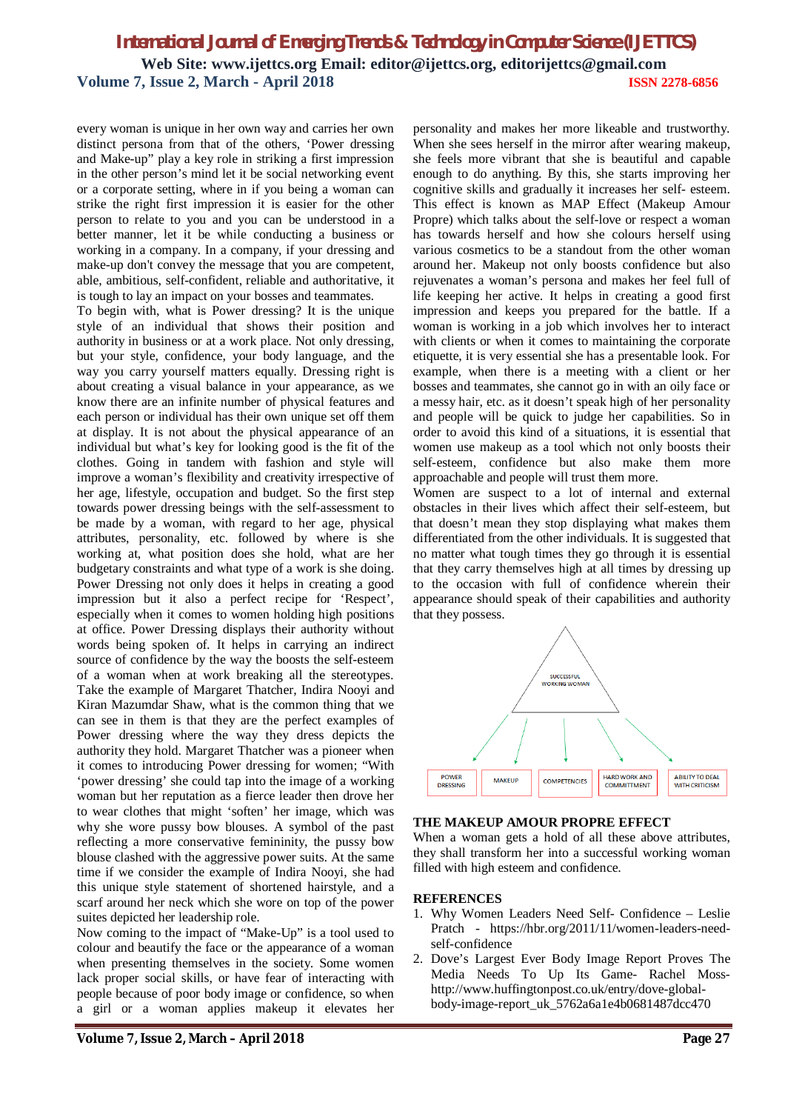### *International Journal of Emerging Trends & Technology in Computer Science (IJETTCS)* **Web Site: www.ijettcs.org Email: editor@ijettcs.org, editorijettcs@gmail.com Volume 7, Issue 2, March - April 2018 ISSN 2278-6856**

every woman is unique in her own way and carries her own distinct persona from that of the others, 'Power dressing and Make-up" play a key role in striking a first impression in the other person's mind let it be social networking event or a corporate setting, where in if you being a woman can strike the right first impression it is easier for the other person to relate to you and you can be understood in a better manner, let it be while conducting a business or working in a company. In a company, if your dressing and make-up don't convey the message that you are competent, able, ambitious, self-confident, reliable and authoritative, it is tough to lay an impact on your bosses and teammates.

To begin with, what is Power dressing? It is the unique style of an individual that shows their position and authority in business or at a work place. Not only dressing, but your style, confidence, your body language, and the way you carry yourself matters equally. Dressing right is about creating a visual balance in your appearance, as we know there are an infinite number of physical features and each person or individual has their own unique set off them at display. It is not about the physical appearance of an individual but what's key for looking good is the fit of the clothes. Going in tandem with fashion and style will improve a woman's flexibility and creativity irrespective of her age, lifestyle, occupation and budget. So the first step towards power dressing beings with the self-assessment to be made by a woman, with regard to her age, physical attributes, personality, etc. followed by where is she working at, what position does she hold, what are her budgetary constraints and what type of a work is she doing. Power Dressing not only does it helps in creating a good impression but it also a perfect recipe for 'Respect', especially when it comes to women holding high positions at office. Power Dressing displays their authority without words being spoken of. It helps in carrying an indirect source of confidence by the way the boosts the self-esteem of a woman when at work breaking all the stereotypes. Take the example of Margaret Thatcher, Indira Nooyi and Kiran Mazumdar Shaw, what is the common thing that we can see in them is that they are the perfect examples of Power dressing where the way they dress depicts the authority they hold. Margaret Thatcher was a pioneer when it comes to introducing Power dressing for women; "With 'power dressing' she could tap into the image of a working woman but her reputation as a fierce leader then drove her to wear clothes that might 'soften' her image, which was why she wore pussy bow blouses. A symbol of the past reflecting a more conservative femininity, the pussy bow blouse clashed with the aggressive power suits. At the same time if we consider the example of Indira Nooyi, she had this unique style statement of shortened hairstyle, and a scarf around her neck which she wore on top of the power suites depicted her leadership role.

Now coming to the impact of "Make-Up" is a tool used to colour and beautify the face or the appearance of a woman when presenting themselves in the society. Some women lack proper social skills, or have fear of interacting with people because of poor body image or confidence, so when a girl or a woman applies makeup it elevates her

personality and makes her more likeable and trustworthy. When she sees herself in the mirror after wearing makeup, she feels more vibrant that she is beautiful and capable enough to do anything. By this, she starts improving her cognitive skills and gradually it increases her self- esteem. This effect is known as MAP Effect (Makeup Amour Propre) which talks about the self-love or respect a woman has towards herself and how she colours herself using various cosmetics to be a standout from the other woman around her. Makeup not only boosts confidence but also rejuvenates a woman's persona and makes her feel full of life keeping her active. It helps in creating a good first impression and keeps you prepared for the battle. If a woman is working in a job which involves her to interact with clients or when it comes to maintaining the corporate etiquette, it is very essential she has a presentable look. For example, when there is a meeting with a client or her bosses and teammates, she cannot go in with an oily face or a messy hair, etc. as it doesn't speak high of her personality and people will be quick to judge her capabilities. So in order to avoid this kind of a situations, it is essential that women use makeup as a tool which not only boosts their self-esteem, confidence but also make them more approachable and people will trust them more.

Women are suspect to a lot of internal and external obstacles in their lives which affect their self-esteem, but that doesn't mean they stop displaying what makes them differentiated from the other individuals. It is suggested that no matter what tough times they go through it is essential that they carry themselves high at all times by dressing up to the occasion with full of confidence wherein their appearance should speak of their capabilities and authority that they possess.



#### **THE MAKEUP AMOUR PROPRE EFFECT**

When a woman gets a hold of all these above attributes, they shall transform her into a successful working woman filled with high esteem and confidence.

#### **REFERENCES**

- 1. Why Women Leaders Need Self- Confidence Leslie Pratch - https://hbr.org/2011/11/women-leaders-needself-confidence
- 2. Dove's Largest Ever Body Image Report Proves The Media Needs To Up Its Game- Rachel Mosshttp://www.huffingtonpost.co.uk/entry/dove-globalbody-image-report\_uk\_5762a6a1e4b0681487dcc470